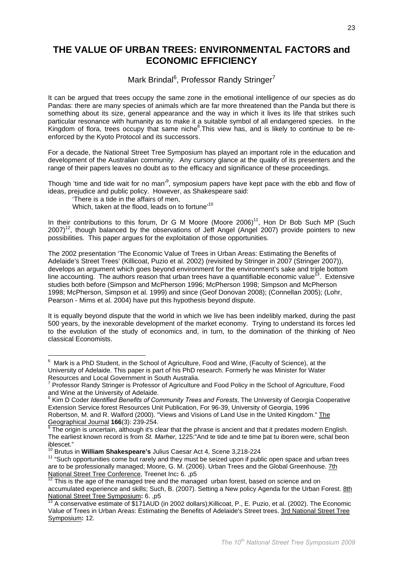# THE VALUE OF URBAN TREES: ENVIRONMENTAL FACTORS and **ECONOMIC EFFICIENCY**

# Mark Brindal<sup>6</sup>, Professor Randy Stringer<sup>7</sup>

It can be argued that trees occupy the same zone in the emotional intelligence of our species as do Pandas: there are many species of animals which are far more threatened than the Panda but there is something about its size, general appearance and the way in which it lives its life that strikes such particular resonance with humanity as to make it a suitable symbol of all endangered species. In the Kingdom of flora, trees occupy that same niche<sup>8</sup>. This view has, and is likely to continue to be reenforced by the Kyoto Protocol and its successors.

For a decade, the National Street Tree Symposium has played an important role in the education and development of the Australian community. Any cursory glance at the quality of its presenters and the range of their papers leaves no doubt as to the efficacy and significance of these proceedings.

Though 'time and tide wait for no man<sup>3</sup>, symposium papers have kept pace with the ebb and flow of ideas, prejudice and public policy. However, as Shakespeare said:

'There is a tide in the affairs of men.

Which, taken at the flood, leads on to fortune'<sup>10</sup>

In their contributions to this forum, Dr G M Moore (Moore 2006)<sup>11</sup>, Hon Dr Bob Such MP (Such 2007)<sup>12</sup>, though balanced by the observations of Jeff Angel (Angel 2007) provide pointers to new possibilities. This paper argues for the exploitation of those opportunities.

The 2002 presentation 'The Economic Value of Trees in Urban Areas: Estimating the Benefits of Adelaide's Street Trees' (Killicoat, Puzio et al. 2002) (revisited by Stringer in 2007 (Stringer 2007)), develops an argument which goes beyond environment for the environment's sake and triple bottom line accounting. The authors reason that urban trees have a quantifiable economic value<sup>13</sup>. Extensive studies both before (Simpson and McPherson 1996; McPherson 1998; Simpson and McPherson 1998; McPherson, Simpson et al. 1999) and since (Geof Donovan 2008); (Connellan 2005); (Lohr, Pearson - Mims et al. 2004) have put this hypothesis beyond dispute.

It is equally beyond dispute that the world in which we live has been indelibly marked, during the past 500 years, by the inexorable development of the market economy. Trying to understand its forces led to the evolution of the study of economics and, in turn, to the domination of the thinking of Neo classical Economists.

<sup>&</sup>lt;sup>6</sup> Mark is a PhD Student, in the School of Agriculture, Food and Wine, (Faculty of Science), at the University of Adelaide. This paper is part of his PhD research. Formerly he was Minister for Water Resources and Local Government in South Australia.<br><sup>7</sup> Professor Randy Stringer is Professor of Agriculture and Food Policy in the School of Agriculture, Food

and Wine at the University of Adelaide.

<sup>&</sup>lt;sup>8</sup> Kim D Coder Identified Benefits of Community Trees and Forests, The University of Georgia Cooperative Extension Service forest Resources Unit Publication, For 96-39, University of Georgia, 1996

Robertson, M. and R. Walford (2000). "Views and Visions of Land Use in the United Kingdom." The Geographical Journal 166(3): 239-254.

The origin is uncertain, although it's clear that the phrase is ancient and that it predates modern English. The earliest known record is from St. Marher, 1225: And te tide and te time bat tu iboren were, schal beon iblescet."

<sup>&</sup>lt;sup>10</sup> Brutus in William Shakespeare's Julius Caesar Act 4, Scene 3,218-224

<sup>&</sup>lt;sup>11</sup> "Such opportunities come but rarely and they must be seized upon if public open space and urban trees are to be professionally managed; Moore, G. M. (2006). Urban Trees and the Global Greenhouse. 7th National Street Tree Conference, Treenet Inc: 6. , p5

 $\frac{1}{12}$  This is the age of the managed tree and the managed urban forest, based on science and on accumulated experience and skills; Such, B. (2007). Setting a New policy Agenda for the Urban Forest. 8th National Street Tree Symposium: 6. .p5

 $^{13}$  A conservative estimate of \$171AUD (in 2002 dollars): Killicoat, P., E. Puzio, et al. (2002). The Economic Value of Trees in Urban Areas: Estimating the Benefits of Adelaide's Street trees. 3rd National Street Tree Symposium: 12.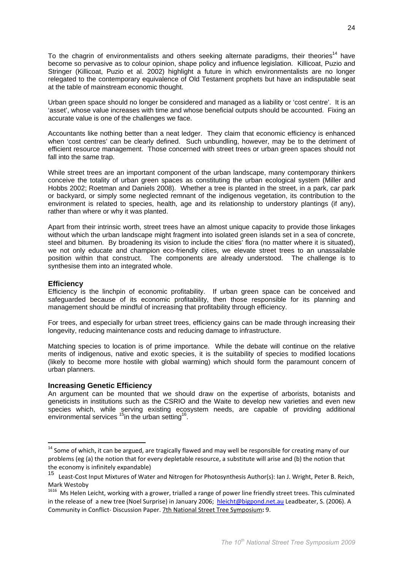To the chagrin of environmentalists and others seeking alternate paradigms, their theories<sup>14</sup> have become so pervasive as to colour opinion, shape policy and influence legislation. Killicoat, Puzio and Stringer (Killicoat, Puzio et al. 2002) highlight a future in which environmentalists are no longer relegated to the contemporary equivalence of Old Testament prophets but have an indisputable seat at the table of mainstream economic thought.

Urban green space should no longer be considered and managed as a liability or 'cost centre'. It is an 'asset', whose value increases with time and whose beneficial outputs should be accounted. Fixing an accurate value is one of the challenges we face.

Accountants like nothing better than a neat ledger. They claim that economic efficiency is enhanced when 'cost centres' can be clearly defined. Such unbundling, however, may be to the detriment of efficient resource management. Those concerned with street trees or urban green spaces should not fall into the same trap.

While street trees are an important component of the urban landscape, many contemporary thinkers conceive the totality of urban green spaces as constituting the urban ecological system (Miller and Hobbs 2002; Roetman and Daniels 2008). Whether a tree is planted in the street, in a park, car park or backyard, or simply some neglected remnant of the indigenous vegetation, its contribution to the environment is related to species, health, age and its relationship to understory plantings (if any), rather than where or why it was planted.

Apart from their intrinsic worth, street trees have an almost unique capacity to provide those linkages without which the urban landscape might fragment into isolated green islands set in a sea of concrete. steel and bitumen. By broadening its vision to include the cities' flora (no matter where it is situated), we not only educate and champion eco-friendly cities, we elevate street trees to an unassailable position within that construct. The components are already understood. The challenge is to synthesise them into an integrated whole.

## **Efficiency**

Efficiency is the linchpin of economic profitability. If urban green space can be conceived and safeguarded because of its economic profitability, then those responsible for its planning and management should be mindful of increasing that profitability through efficiency.

For trees, and especially for urban street trees, efficiency gains can be made through increasing their longevity, reducing maintenance costs and reducing damage to infrastructure.

Matching species to location is of prime importance. While the debate will continue on the relative merits of indigenous, native and exotic species, it is the suitability of species to modified locations (likely to become more hostile with global warming) which should form the paramount concern of urban planners.

# **Increasing Genetic Efficiency**

An argument can be mounted that we should draw on the expertise of arborists, botanists and geneticists in institutions such as the CSRIO and the Waite to develop new varieties and even new species which, while serving existing ecosystem needs, are capable of providing additional environmental services <sup>15</sup>in the urban setting<sup>16</sup>.

 $14$  Some of which, it can be argued, are tragically flawed and may well be responsible for creating many of our problems (eg (a) the notion that for every depletable resource, a substitute will arise and (b) the notion that the economy is infinitely expandable)

Least-Cost Input Mixtures of Water and Nitrogen for Photosynthesis Author(s): Ian J. Wright, Peter B. Reich,

Mark Westoby<br><sup>1616</sup> Ms Helen Leicht, working with a grower, trialled a range of power line friendly street trees. This culminated in the release of a new tree (Noel Surprise) in January 2006; hleicht@bigpond.net.au Leadbeater, S. (2006). A Community in Conflict-Discussion Paper. 7th National Street Tree Symposium: 9.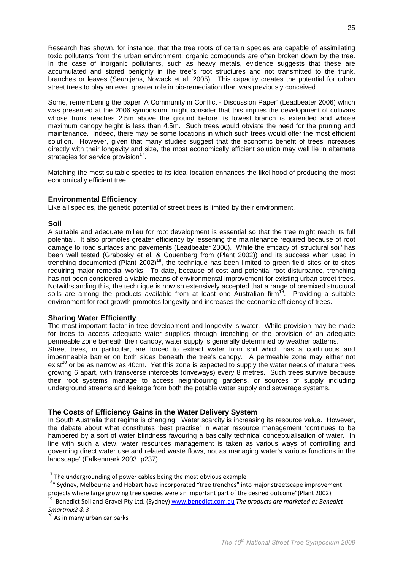Research has shown, for instance, that the tree roots of certain species are capable of assimilating toxic pollutants from the urban environment: organic compounds are often broken down by the tree. In the case of inorganic pollutants, such as heavy metals, evidence suggests that these are accumulated and stored benignly in the tree's root structures and not transmitted to the trunk. branches or leaves (Seuntjens, Nowack et al. 2005). This capacity creates the potential for urban street trees to play an even greater role in bio-remediation than was previously conceived.

Some, remembering the paper 'A Community in Conflict - Discussion Paper' (Leadbeater 2006) which was presented at the 2006 symposium, might consider that this implies the development of cultivars whose trunk reaches 2.5m above the ground before its lowest branch is extended and whose maximum canopy height is less than 4.5m. Such trees would obviate the need for the pruning and maintenance. Indeed, there may be some locations in which such trees would offer the most efficient solution. However, given that many studies suggest that the economic benefit of trees increases directly with their longevity and size, the most economically efficient solution may well lie in alternate strategies for service provision<sup>17</sup>.

Matching the most suitable species to its ideal location enhances the likelihood of producing the most economically efficient tree.

## **Environmental Efficiency**

Like all species, the genetic potential of street trees is limited by their environment.

#### Soil

A suitable and adequate milieu for root development is essential so that the tree might reach its full potential. It also promotes greater efficiency by lessening the maintenance required because of root damage to road surfaces and pavements (Leadbeater 2006). While the efficacy of 'structural soil' has been well tested (Grabosky et al. & Couenberg from (Plant 2002)) and its success when used in trenching documented (Plant 2002)<sup>18</sup>, the technique has been limited to green-field sites or to sites requiring major remedial works. To date, because of cost and potential root disturbance, trenching has not been considered a viable means of environmental improvement for existing urban street trees. Notwithstanding this, the technique is now so extensively accepted that a range of premixed structural soils are among the products available from at least one Australian firm<sup>19</sup>. Providing a suitable environment for root growth promotes longevity and increases the economic efficiency of trees.

# **Sharing Water Efficiently**

The most important factor in tree development and longevity is water. While provision may be made for trees to access adequate water supplies through trenching or the provision of an adequate permeable zone beneath their canopy, water supply is generally determined by weather patterns. Street trees, in particular, are forced to extract water from soil which has a continuous and impermeable barrier on both sides beneath the tree's canopy. A permeable zone may either not  $exist^{20}$  or be as narrow as 40cm. Yet this zone is expected to supply the water needs of mature trees growing 6 apart, with transverse intercepts (driveways) every 8 metres. Such trees survive because their root systems manage to access neighbouring gardens, or sources of supply including underground streams and leakage from both the potable water supply and sewerage systems.

#### The Costs of Efficiency Gains in the Water Delivery System

In South Australia that regime is changing. Water scarcity is increasing its resource value. However, the debate about what constitutes 'best practise' in water resource management 'continues to be hampered by a sort of water blindness favouring a basically technical conceptualisation of water. In line with such a view, water resources management is taken as various ways of controlling and governing direct water use and related waste flows, not as managing water's various functions in the landscape' (Falkenmark 2003, p237).

<sup>&</sup>lt;sup>17</sup> The undergrounding of power cables being the most obvious example

<sup>&</sup>lt;sup>18</sup>" Sydney, Melbourne and Hobart have incorporated "tree trenches" into major streetscape improvement projects where large growing tree species were an important part of the desired outcome" (Plant 2002)

<sup>&</sup>lt;sup>19</sup> Benedict Soil and Gravel Pty Ltd. (Sydney) www.benedict.com.au The products are marketed as Benedict Smartmix2 & 3

<sup>&</sup>lt;sup>20</sup> As in many urban car parks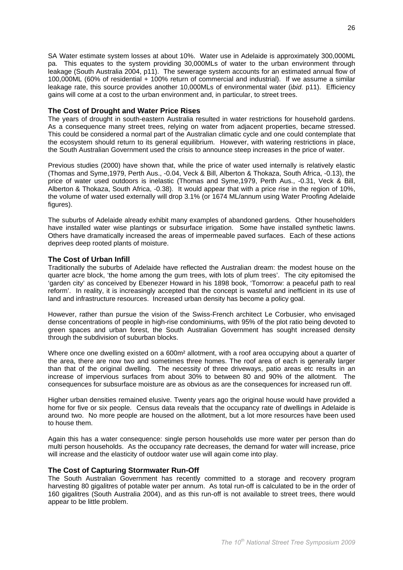SA Water estimate system losses at about 10%. Water use in Adelaide is approximately 300,000ML pa. This equates to the system providing 30,000MLs of water to the urban environment through leakage (South Australia 2004, p11). The sewerage system accounts for an estimated annual flow of 100,000ML (60% of residential + 100% return of commercial and industrial). If we assume a similar leakage rate, this source provides another 10,000MLs of environmental water (ibid, p11). Efficiency gains will come at a cost to the urban environment and, in particular, to street trees.

## The Cost of Drought and Water Price Rises

The years of drought in south-eastern Australia resulted in water restrictions for household gardens. As a consequence many street trees, relying on water from adjacent properties, became stressed. This could be considered a normal part of the Australian climatic cycle and one could contemplate that the ecosystem should return to its general equilibrium. However, with watering restrictions in place, the South Australian Government used the crisis to announce steep increases in the price of water.

Previous studies (2000) have shown that, while the price of water used internally is relatively elastic (Thomas and Syme, 1979, Perth Aus., -0.04, Veck & Bill, Alberton & Thokaza, South Africa, -0.13), the price of water used outdoors is inelastic (Thomas and Syme, 1979, Perth Aus., -0.31, Veck & Bill, Alberton & Thokaza, South Africa, -0.38). It would appear that with a price rise in the region of 10%, the volume of water used externally will drop 3.1% (or 1674 ML/annum using Water Proofing Adelaide figures).

The suburbs of Adelaide already exhibit many examples of abandoned gardens. Other householders have installed water wise plantings or subsurface irrigation. Some have installed synthetic lawns. Others have dramatically increased the areas of impermeable paved surfaces. Each of these actions deprives deep rooted plants of moisture.

## The Cost of Urban Infill

Traditionally the suburbs of Adelaide have reflected the Australian dream: the modest house on the quarter acre block, 'the home among the gum trees, with lots of plum trees'. The city epitomised the 'garden city' as conceived by Ebenezer Howard in his 1898 book. 'Tomorrow: a peaceful path to real reform'. In reality, it is increasingly accepted that the concept is wasteful and inefficient in its use of land and infrastructure resources. Increased urban density has become a policy goal.

However, rather than pursue the vision of the Swiss-French architect Le Corbusier, who envisaged dense concentrations of people in high-rise condominiums, with 95% of the plot ratio being devoted to green spaces and urban forest, the South Australian Government has sought increased density through the subdivision of suburban blocks.

Where once one dwelling existed on a 600m<sup>2</sup> allotment, with a roof area occupying about a quarter of the area, there are now two and sometimes three homes. The roof area of each is generally larger than that of the original dwelling. The necessity of three driveways, patio areas etc results in an increase of impervious surfaces from about 30% to between 80 and 90% of the allotment. The consequences for subsurface moisture are as obvious as are the consequences for increased run off.

Higher urban densities remained elusive. Twenty years ago the original house would have provided a home for five or six people. Census data reveals that the occupancy rate of dwellings in Adelaide is around two. No more people are housed on the allotment, but a lot more resources have been used to house them.

Again this has a water consequence: single person households use more water per person than do multi person households. As the occupancy rate decreases, the demand for water will increase, price will increase and the elasticity of outdoor water use will again come into play.

# The Cost of Capturing Stormwater Run-Off

The South Australian Government has recently committed to a storage and recovery program harvesting 80 gigalitres of potable water per annum. As total run-off is calculated to be in the order of 160 gigalitres (South Australia 2004), and as this run-off is not available to street trees, there would appear to be little problem.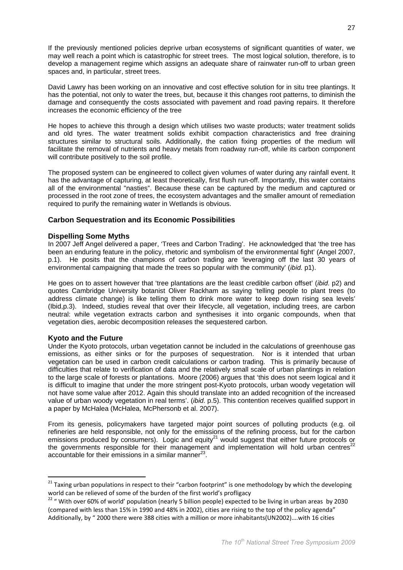If the previously mentioned policies deprive urban ecosystems of significant quantities of water, we may well reach a point which is catastrophic for street trees. The most logical solution, therefore, is to develop a management regime which assigns an adequate share of rainwater run-off to urban green spaces and, in particular, street trees.

David Lawry has been working on an innovative and cost effective solution for in situ tree plantings. It has the potential, not only to water the trees, but, because it this changes root patterns, to diminish the damage and consequently the costs associated with payement and road paying repairs. It therefore increases the economic efficiency of the tree

He hopes to achieve this through a design which utilises two waste products; water treatment solids and old tyres. The water treatment solids exhibit compaction characteristics and free draining structures similar to structural soils. Additionally, the cation fixing properties of the medium will facilitate the removal of nutrients and heavy metals from roadway run-off, while its carbon component will contribute positively to the soil profile.

The proposed system can be engineered to collect given volumes of water during any rainfall event. It has the advantage of capturing, at least theoretically, first flush run-off. Importantly, this water contains all of the environmental "nasties". Because these can be captured by the medium and captured or processed in the root zone of trees, the ecosystem advantages and the smaller amount of remediation required to purify the remaining water in Wetlands is obvious.

# **Carbon Sequestration and its Economic Possibilities**

# **Dispelling Some Myths**

In 2007 Jeff Angel delivered a paper, 'Trees and Carbon Trading'. He acknowledged that 'the tree has been an enduring feature in the policy, rhetoric and symbolism of the environmental fight' (Angel 2007, p.1). He posits that the champions of carbon trading are 'leveraging off the last 30 years of environmental campaigning that made the trees so popular with the community' (ibid. p1).

He goes on to assert however that 'tree plantations are the least credible carbon offset' (ibid. p2) and quotes Cambridge University botanist Oliver Rackham as saying 'telling people to plant trees (to address climate change) is like telling them to drink more water to keep down rising sea levels' (Ibid, p.3). Indeed, studies reveal that over their lifecycle, all vegetation, including trees, are carbon neutral: while vegetation extracts carbon and synthesises it into organic compounds, when that vegetation dies, aerobic decomposition releases the sequestered carbon.

# Kyoto and the Future

Under the Kyoto protocols, urban vegetation cannot be included in the calculations of greenhouse gas emissions, as either sinks or for the purposes of sequestration. Nor is it intended that urban vegetation can be used in carbon credit calculations or carbon trading. This is primarily because of difficulties that relate to verification of data and the relatively small scale of urban plantings in relation to the large scale of forests or plantations. Moore (2006) argues that 'this does not seem logical and it is difficult to imagine that under the more stringent post-Kyoto protocols, urban woody vegetation will not have some value after 2012. Again this should translate into an added recognition of the increased value of urban woody vegetation in real terms'. (ibid. p.5). This contention receives qualified support in a paper by McHalea (McHalea, McPhersonb et al. 2007).

From its genesis, policymakers have targeted major point sources of polluting products (e.g. oil refineries are held responsible, not only for the emissions of the refining process, but for the carbon emissions produced by consumers). Logic and equity<sup>21</sup> would suggest that either future protocols or the governments responsible for their management and implementation will hold urban centres<sup>22</sup>  $accountable$  for their emissions in a similar manner<sup>23</sup>.

<sup>&</sup>lt;sup>21</sup> Taxing urban populations in respect to their "carbon footprint" is one methodology by which the developing world can be relieved of some of the burden of the first world's profligacy

<sup>&</sup>lt;sup>22</sup> "With over 60% of world' population (nearly 5 billion people) expected to be living in urban areas by 2030 (compared with less than 15% in 1990 and 48% in 2002), cities are rising to the top of the policy agenda" Additionally, by "2000 there were 388 cities with a million or more inhabitants(UN2002)....with 16 cities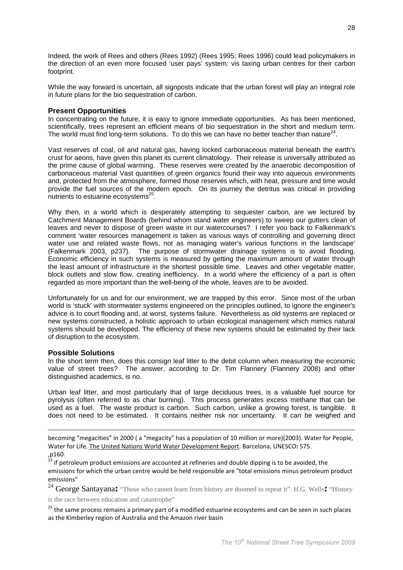Indeed, the work of Rees and others (Rees 1992) (Rees 1995; Rees 1996) could lead policymakers in the direction of an even more focused 'user pays' system: vis taxing urban centres for their carbon footprint.

While the way forward is uncertain, all signposts indicate that the urban forest will play an integral role in future plans for the bio sequestration of carbon.

## **Present Opportunities**

In concentrating on the future, it is easy to ignore immediate opportunities. As has been mentioned, scientifically, trees represent an efficient means of bio sequestration in the short and medium term. The world must find long-term solutions. To do this we can have no better teacher than nature<sup>24</sup>.

Vast reserves of coal, oil and natural gas, having locked carbonaceous material beneath the earth's crust for aeons, have given this planet its current climatology. Their release is universally attributed as the prime cause of global warming. These reserves were created by the anaerobic decomposition of carbonaceous material Vast quantities of green organics found their way into aqueous environments and, protected from the atmosphere, formed those reserves which, with heat, pressure and time would provide the fuel sources of the modern epoch. On its journey the detritus was critical in providing nutrients to estuarine ecosystems<sup>25</sup>.

Why then, in a world which is desperately attempting to sequester carbon, are we lectured by Catchment Management Boards (behind whom stand water engineers) to sweep our gutters clean of leaves and never to dispose of green waste in our watercourses? I refer you back to Falkenmark's comment 'water resources management is taken as various ways of controlling and governing direct water use and related waste flows, not as managing water's various functions in the landscape' (Falkenmark 2003, p237). The purpose of stormwater drainage systems is to avoid flooding. Economic efficiency in such systems is measured by getting the maximum amount of water through the least amount of infrastructure in the shortest possible time. Leaves and other vegetable matter, block outlets and slow flow, creating inefficiency. In a world where the efficiency of a part is often regarded as more important than the well-being of the whole, leaves are to be avoided.

Unfortunately for us and for our environment, we are trapped by this error. Since most of the urban world is 'stuck' with stormwater systems engineered on the principles outlined, to ignore the engineer's advice is to court flooding and, at worst, systems failure. Nevertheless as old systems are replaced or new systems constructed, a holistic approach to urban ecological management which mimics natural systems should be developed. The efficiency of these new systems should be estimated by their lack of disruption to the ecosystem.

# **Possible Solutions**

In the short term then, does this consign leaf litter to the debit column when measuring the economic value of street trees? The answer, according to Dr. Tim Flannery (Flannery 2008) and other distinguished academics, is no.

Urban leaf litter, and most particularly that of large deciduous trees, is a valuable fuel source for pyrolysis (often referred to as char burning). This process generates excess methane that can be used as a fuel. The waste product is carbon. Such carbon, unlike a growing forest, is tangible. It does not need to be estimated. It contains neither risk nor uncertainty. It can be weighed and

<sup>24</sup> George Santayana: "Those who cannot learn from history are doomed to repeat it". H.G. Wells: "History is the race between education and catastrophe"

becoming "megacities" in 2000 (a "megacity" has a population of 10 million or more)(2003). Water for People, Water for Life. The United Nations World Water Development Report. Barcelona, UNESCO: 575. p160.

if petroleum product emissions are accounted at refineries and double dipping is to be avoided, the emissions for which the urban centre would be held responsible are "total emissions minus petroleum product emissions"

<sup>&</sup>lt;sup>25</sup> the same process remains a primary part of a modified estuarine ecosystems and can be seen in such places as the Kimberley region of Australia and the Amazon river basin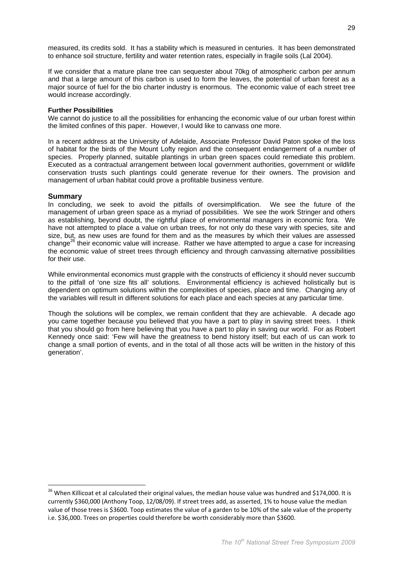measured, its credits sold. It has a stability which is measured in centuries. It has been demonstrated to enhance soil structure, fertility and water retention rates, especially in fragile soils (Lal 2004).

If we consider that a mature plane tree can sequester about 70kg of atmospheric carbon per annum and that a large amount of this carbon is used to form the leaves, the potential of urban forest as a major source of fuel for the bio charter industry is enormous. The economic value of each street tree would increase accordingly.

#### **Further Possibilities**

We cannot do justice to all the possibilities for enhancing the economic value of our urban forest within the limited confines of this paper. However, I would like to canvass one more.

In a recent address at the University of Adelaide, Associate Professor David Paton spoke of the loss of habitat for the birds of the Mount Lofty region and the consequent endangerment of a number of species. Properly planned, suitable plantings in urban green spaces could remediate this problem. Executed as a contractual arrangement between local government authorities, government or wildlife conservation trusts such plantings could generate revenue for their owners. The provision and management of urban habitat could prove a profitable business venture.

# **Summary**

In concluding, we seek to avoid the pitfalls of oversimplification. We see the future of the management of urban green space as a myriad of possibilities. We see the work Stringer and others as establishing, beyond doubt, the rightful place of environmental managers in economic fora. We have not attempted to place a value on urban trees, for not only do these vary with species, site and size, but, as new uses are found for them and as the measures by which their values are assessed change<sup>26</sup> their economic value will increase. Rather we have attempted to argue a case for increasing the economic value of street trees through efficiency and through canvassing alternative possibilities for their use

While environmental economics must grapple with the constructs of efficiency it should never succumb to the pitfall of 'one size fits all' solutions. Environmental efficiency is achieved holistically but is dependent on optimum solutions within the complexities of species, place and time. Changing any of the variables will result in different solutions for each place and each species at any particular time.

Though the solutions will be complex, we remain confident that they are achievable. A decade ago you came together because you believed that you have a part to play in saving street trees. I think that you should go from here believing that you have a part to play in saving our world. For as Robert Kennedy once said: 'Few will have the greatness to bend history itself; but each of us can work to change a small portion of events, and in the total of all those acts will be written in the history of this generation'.

<sup>&</sup>lt;sup>26</sup> When Killicoat et al calculated their original values, the median house value was hundred and \$174,000. It is currently \$360,000 (Anthony Toop, 12/08/09). If street trees add, as asserted, 1% to house value the median value of those trees is \$3600. Toop estimates the value of a garden to be 10% of the sale value of the property i.e. \$36,000. Trees on properties could therefore be worth considerably more than \$3600.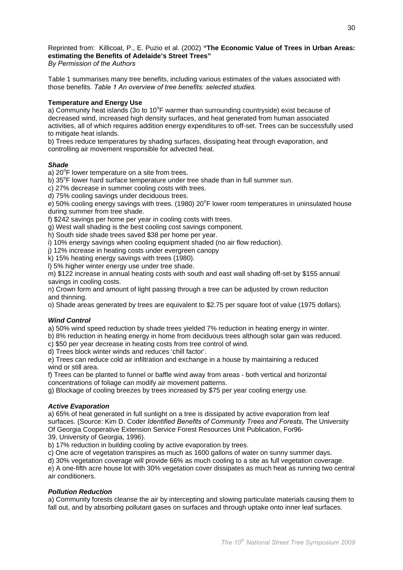Reprinted from: Killicoat, P., E. Puzio et al. (2002) "The Economic Value of Trees in Urban Areas: estimating the Benefits of Adelaide's Street Trees" By Permission of the Authors

Table 1 summarises many tree benefits, including various estimates of the values associated with those benefits. Table 1 An overview of tree benefits: selected studies.

## **Temperature and Energy Use**

a) Community heat islands (3o to  $10^{\circ}$ F warmer than surrounding countryside) exist because of decreased wind, increased high density surfaces, and heat generated from human associated activities, all of which requires addition energy expenditures to off-set. Trees can be successfully used to mitigate heat islands.

b) Trees reduce temperatures by shading surfaces, dissipating heat through evaporation, and controlling air movement responsible for advected heat.

## **Shade**

a) 20°F lower temperature on a site from trees.

b) 35°F lower hard surface temperature under tree shade than in full summer sun.

c) 27% decrease in summer cooling costs with trees.

d) 75% cooling savings under deciduous trees.

e) 50% cooling energy savings with trees. (1980) 20°F lower room temperatures in uninsulated house during summer from tree shade.

f) \$242 savings per home per year in cooling costs with trees.

g) West wall shading is the best cooling cost savings component.

h) South side shade trees saved \$38 per home per year.

i) 10% energy savings when cooling equipment shaded (no air flow reduction).

i) 12% increase in heating costs under evergreen canopy

k) 15% heating energy sayings with trees (1980).

I) 5% higher winter energy use under tree shade.

m) \$122 increase in annual heating costs with south and east wall shading off-set by \$155 annual savings in cooling costs.

n) Crown form and amount of light passing through a tree can be adjusted by crown reduction and thinning.

o) Shade areas generated by trees are equivalent to \$2.75 per square foot of value (1975 dollars).

#### **Wind Control**

a) 50% wind speed reduction by shade trees yielded 7% reduction in heating energy in winter.

b) 8% reduction in heating energy in home from deciduous trees although solar gain was reduced.

c) \$50 per year decrease in heating costs from tree control of wind.

d) Trees block winter winds and reduces 'chill factor'.

e) Trees can reduce cold air infiltration and exchange in a house by maintaining a reduced wind or still area.

f) Trees can be planted to funnel or baffle wind away from areas - both vertical and horizontal concentrations of foliage can modify air movement patterns.

g) Blockage of cooling breezes by trees increased by \$75 per year cooling energy use.

#### **Active Evaporation**

a) 65% of heat generated in full sunlight on a tree is dissipated by active evaporation from leaf surfaces. (Source: Kim D. Coder Identified Benefits of Community Trees and Forests. The University Of Georgia Cooperative Extension Service Forest Resources Unit Publication, For96-39. University of Georgia, 1996).

b) 17% reduction in building cooling by active evaporation by trees.

c) One acre of vegetation transpires as much as 1600 gallons of water on sunny summer days.

d) 30% vegetation coverage will provide 66% as much cooling to a site as full vegetation coverage.

e) A one-fifth acre house lot with 30% vegetation cover dissipates as much heat as running two central air conditioners.

#### **Pollution Reduction**

a) Community forests cleanse the air by intercepting and slowing particulate materials causing them to fall out, and by absorbing pollutant gases on surfaces and through uptake onto inner leaf surfaces.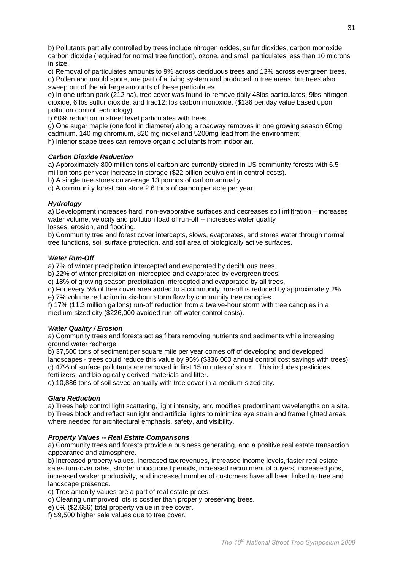b) Pollutants partially controlled by trees include nitrogen oxides, sulfur dioxides, carbon monoxide, carbon dioxide (required for normal tree function), ozone, and small particulates less than 10 microns in size.

c) Removal of particulates amounts to 9% across deciduous trees and 13% across evergreen trees. d) Pollen and mould spore, are part of a living system and produced in tree areas, but trees also sweep out of the air large amounts of these particulates.

e) In one urban park (212 ha), tree cover was found to remove daily 48lbs particulates. 9lbs nitrogen dioxide. 6 lbs sulfur dioxide, and frac12; lbs carbon monoxide. (\$136 per day value based upon pollution control technology).

f) 60% reduction in street level particulates with trees.

g) One sugar maple (one foot in diameter) along a roadway removes in one growing season 60mg cadmium, 140 mg chromium, 820 mg nickel and 5200mg lead from the environment. h) Interior scape trees can remove organic pollutants from indoor air.

# **Carbon Dioxide Reduction**

a) Approximately 800 million tons of carbon are currently stored in US community forests with 6.5 million tons per year increase in storage (\$22 billion equivalent in control costs).

b) A single tree stores on average 13 pounds of carbon annually.

c) A community forest can store 2.6 tons of carbon per acre per year.

## **Hydrology**

a) Development increases hard, non-evaporative surfaces and decreases soil infiltration – increases water volume, velocity and pollution load of run-off -- increases water quality

losses, erosion, and flooding.

b) Community tree and forest cover intercepts, slows, evaporates, and stores water through normal tree functions, soil surface protection, and soil area of biologically active surfaces.

## **Water Run-Off**

a) 7% of winter precipitation intercepted and evaporated by deciduous trees.

b) 22% of winter precipitation intercepted and evaporated by evergreen trees.

c) 18% of growing season precipitation intercepted and evaporated by all trees.

d) For every 5% of tree cover area added to a community, run-off is reduced by approximately 2%

e) 7% volume reduction in six-hour storm flow by community tree canopies.

f) 17% (11.3 million gallons) run-off reduction from a twelve-hour storm with tree canopies in a medium-sized city (\$226,000 avoided run-off water control costs).

# **Water Quality / Erosion**

a) Community trees and forests act as filters removing nutrients and sediments while increasing ground water recharge.

b) 37,500 tons of sediment per square mile per year comes off of developing and developed landscapes - trees could reduce this value by 95% (\$336,000 annual control cost savings with trees). c) 47% of surface pollutants are removed in first 15 minutes of storm. This includes pesticides, fertilizers, and biologically derived materials and litter.

d) 10,886 tons of soil saved annually with tree cover in a medium-sized city.

# **Glare Reduction**

a) Trees help control light scattering, light intensity, and modifies predominant wavelengths on a site. b) Trees block and reflect sunlight and artificial lights to minimize eye strain and frame lighted areas where needed for architectural emphasis, safety, and visibility.

# **Property Values -- Real Estate Comparisons**

a) Community trees and forests provide a business generating, and a positive real estate transaction appearance and atmosphere.

b) Increased property values, increased tax revenues, increased income levels, faster real estate sales turn-over rates, shorter unoccupied periods, increased recruitment of buyers, increased jobs, increased worker productivity, and increased number of customers have all been linked to tree and landscape presence.

c) Tree amenity values are a part of real estate prices.

d) Clearing unimproved lots is costlier than properly preserving trees.

e) 6% (\$2,686) total property value in tree cover.

f) \$9,500 higher sale values due to tree cover.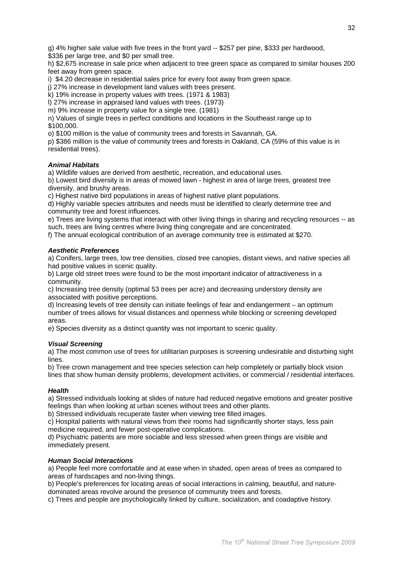g) 4% higher sale value with five trees in the front yard -- \$257 per pine, \$333 per hardwood, \$336 per large tree, and \$0 per small tree.

h) \$2,675 increase in sale price when adjacent to tree green space as compared to similar houses 200 feet away from green space.

i) \$4.20 decrease in residential sales price for every foot away from green space.

i) 27% increase in development land values with trees present.

k) 19% increase in property values with trees. (1971 & 1983)

I) 27% increase in appraised land values with trees. (1973)

m) 9% increase in property value for a single tree. (1981)

n) Values of single trees in perfect conditions and locations in the Southeast range up to  $$100.000.$ 

o) \$100 million is the value of community trees and forests in Savannah, GA.

p) \$386 million is the value of community trees and forests in Oakland, CA (59% of this value is in residential trees).

## **Animal Habitats**

a) Wildlife values are derived from aesthetic, recreation, and educational uses.

b) Lowest bird diversity is in areas of mowed lawn - highest in area of large trees, greatest tree diversity, and brushy areas.

c) Highest native bird populations in areas of highest native plant populations.

d) Highly variable species attributes and needs must be identified to clearly determine tree and community tree and forest influences.

e) Trees are living systems that interact with other living things in sharing and recycling resources -- as such, trees are living centres where living thing congregate and are concentrated.

f) The annual ecological contribution of an average community tree is estimated at \$270.

#### **Aesthetic Preferences**

a) Conifers, large trees, low tree densities, closed tree canopies, distant views, and native species all had positive values in scenic quality.

b) Large old street trees were found to be the most important indicator of attractiveness in a community.

c) Increasing tree density (optimal 53 trees per acre) and decreasing understory density are associated with positive perceptions.

d) Increasing levels of tree density can initiate feelings of fear and endangerment – an optimum number of trees allows for visual distances and openness while blocking or screening developed areas

e) Species diversity as a distinct quantity was not important to scenic quality.

#### **Visual Screening**

a) The most common use of trees for utilitarian purposes is screening undesirable and disturbing sight lines.

b) Tree crown management and tree species selection can help completely or partially block vision lines that show human density problems, development activities, or commercial / residential interfaces.

#### **Health**

a) Stressed individuals looking at slides of nature had reduced negative emotions and greater positive feelings than when looking at urban scenes without trees and other plants.

b) Stressed individuals recuperate faster when viewing tree filled images.

c) Hospital patients with natural views from their rooms had significantly shorter stays, less pain medicine required, and fewer post-operative complications.

d) Psychiatric patients are more sociable and less stressed when green things are visible and immediately present.

#### **Human Social Interactions**

a) People feel more comfortable and at ease when in shaded, open areas of trees as compared to areas of hardscapes and non-living things.

b) People's preferences for locating areas of social interactions in calming, beautiful, and naturedominated areas revolve around the presence of community trees and forests.

c) Trees and people are psychologically linked by culture, socialization, and coadaptive history.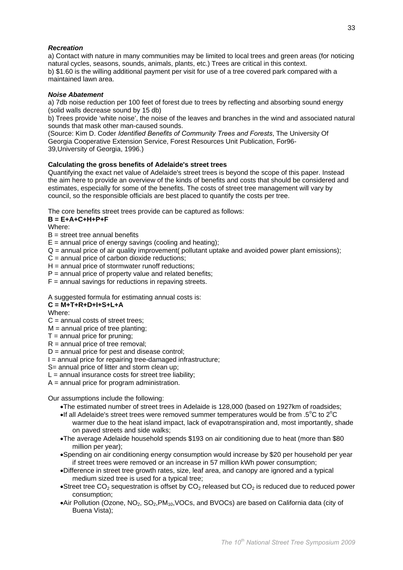# **Recreation**

a) Contact with nature in many communities may be limited to local trees and green areas (for noticing natural cycles, seasons, sounds, animals, plants, etc.) Trees are critical in this context. b) \$1.60 is the willing additional payment per visit for use of a tree covered park compared with a maintained lawn area.

# **Noise Abatement**

a) 7db noise reduction per 100 feet of forest due to trees by reflecting and absorbing sound energy (solid walls decrease sound by 15 db)

b) Trees provide 'white noise', the noise of the leaves and branches in the wind and associated natural sounds that mask other man-caused sounds.

(Source: Kim D. Coder Identified Benefits of Community Trees and Forests, The University Of Georgia Cooperative Extension Service, Forest Resources Unit Publication, For96-39, University of Georgia, 1996.)

# Calculating the gross benefits of Adelaide's street trees

Quantifying the exact net value of Adelaide's street trees is beyond the scope of this paper. Instead the aim here to provide an overview of the kinds of benefits and costs that should be considered and estimates, especially for some of the benefits. The costs of street tree management will vary by council, so the responsible officials are best placed to quantify the costs per tree.

The core benefits street trees provide can be captured as follows:

# $B = E + A + C + H + P + F$

Where:

- $B =$  street tree annual benefits
- $E =$  annual price of energy savings (cooling and heating);
- $Q =$  annual price of air quality improvement( pollutant uptake and avoided power plant emissions);
- $C =$  annual price of carbon dioxide reductions:
- $H =$  annual price of stormwater runoff reductions:
- $P =$  annual price of property value and related benefits;
- $F =$  annual savings for reductions in repaving streets.

A suggested formula for estimating annual costs is:

# $C = M + T + R + D + I + S + L + A$

Where:

- $C =$  annual costs of street trees;
- $M =$  annual price of tree planting;
- $T =$  annual price for pruning;
- $R =$  annual price of tree removal;
- $D =$  annual price for pest and disease control:

I = annual price for repairing tree-damaged infrastructure;

S= annual price of litter and storm clean up;

 $L =$  annual insurance costs for street tree liability:

 $A =$  annual price for program administration.

Our assumptions include the following:

- •The estimated number of street trees in Adelaide is 128,000 (based on 1927km of roadsides;
- •If all Adelaide's street trees were removed summer temperatures would be from .5 $\mathrm{^{\circ}C}$  to 2 $\mathrm{^{\circ}C}$ warmer due to the heat island impact, lack of evapotranspiration and, most importantly, shade on paved streets and side walks;
- •The average Adelaide household spends \$193 on air conditioning due to heat (more than \$80 million per year);
- •Spending on air conditioning energy consumption would increase by \$20 per household per year if street trees were removed or an increase in 57 million kWh power consumption;
- •Difference in street tree growth rates, size, leaf area, and canopy are ignored and a typical medium sized tree is used for a typical tree:
- •Street tree CO<sub>2</sub> sequestration is offset by CO<sub>2</sub> released but CO<sub>2</sub> is reduced due to reduced power consumption:
- Air Pollution (Ozone,  $NO_2$ ,  $SO_2$ , PM<sub>10</sub>, VOCs, and BVOCs) are based on California data (city of Buena Vista):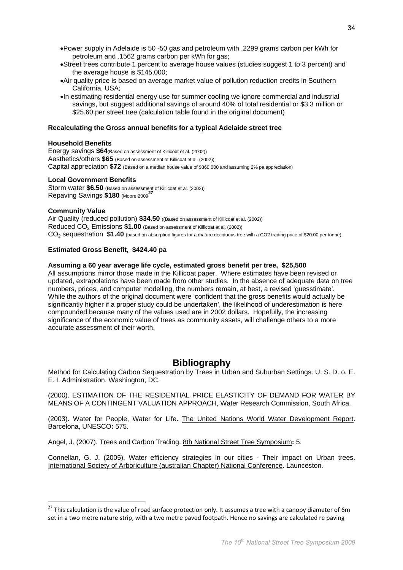- •Power supply in Adelaide is 50 -50 gas and petroleum with .2299 grams carbon per kWh for petroleum and .1562 grams carbon per kWh for gas;
- •Street trees contribute 1 percent to average house values (studies suggest 1 to 3 percent) and the average house is \$145,000;
- •Air quality price is based on average market value of pollution reduction credits in Southern California, USA:
- •In estimating residential energy use for summer cooling we ignore commercial and industrial savings, but suggest additional savings of around 40% of total residential or \$3.3 million or \$25.60 per street tree (calculation table found in the original document)

## Recalculating the Gross annual benefits for a typical Adelaide street tree

#### **Household Benefits**

Energy savings \$64(Based on assessment of Killicoat et al. (2002)) Aesthetics/others \$65 (Based on assessment of Killicoat et al. (2002)) Capital appreciation \$72 (Based on a median house value of \$360,000 and assuming 2% pa appreciation)

## **Local Government Benefits**

Storm water \$6.50 (Based on assessment of Killicoat et al. (2002)) Repaving Savings \$180 (Moore 2009<sup>27</sup>

#### **Community Value**

Air Quality (reduced pollution) \$34.50 ((Based on assessment of Killicoat et al. (2002)) Reduced CO<sub>2</sub> Emissions \$1.00 (Based on assessment of Killicoat et al. (2002)) CO<sub>2</sub> Sequestration \$1.40 (based on absorption figures for a mature deciduous tree with a CO2 trading price of \$20.00 per tonne)

## Estimated Gross Benefit, \$424.40 pa

#### Assuming a 60 year average life cycle, estimated gross benefit per tree, \$25,500

All assumptions mirror those made in the Killicoat paper. Where estimates have been revised or updated, extrapolations have been made from other studies. In the absence of adequate data on tree numbers, prices, and computer modelling, the numbers remain, at best, a revised 'quesstimate'. While the authors of the original document were 'confident that the gross benefits would actually be significantly higher if a proper study could be undertaken', the likelihood of underestimation is here compounded because many of the values used are in 2002 dollars. Hopefully, the increasing significance of the economic value of trees as community assets, will challenge others to a more accurate assessment of their worth.

# **Bibliography**

Method for Calculating Carbon Sequestration by Trees in Urban and Suburban Settings. U. S. D. o. E. E. I. Administration. Washington, DC.

(2000). ESTIMATION OF THE RESIDENTIAL PRICE ELASTICITY OF DEMAND FOR WATER BY MEANS OF A CONTINGENT VALUATION APPROACH, Water Research Commission, South Africa.

(2003). Water for People, Water for Life. The United Nations World Water Development Report. Barcelona, UNESCO: 575.

Angel, J. (2007). Trees and Carbon Trading. 8th National Street Tree Symposium: 5.

Connellan, G. J. (2005). Water efficiency strategies in our cities - Their impact on Urban trees. International Society of Arboriculture (australian Chapter) National Conference. Launceston.

<sup>&</sup>lt;sup>27</sup> This calculation is the value of road surface protection only. It assumes a tree with a canopy diameter of 6m set in a two metre nature strip, with a two metre paved footpath. Hence no savings are calculated re paving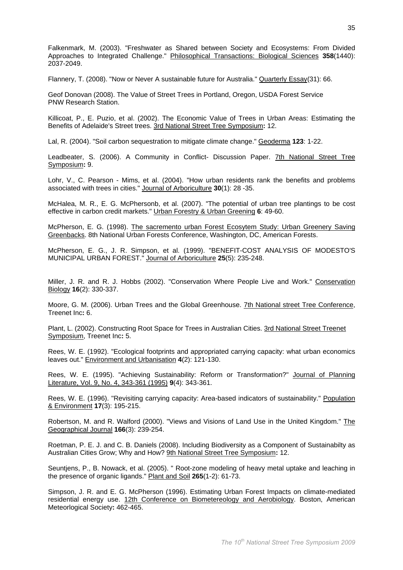Falkenmark, M. (2003). "Freshwater as Shared between Society and Ecosystems: From Divided Approaches to Integrated Challenge." Philosophical Transactions: Biological Sciences 358(1440): 2037-2049.

Flannery, T. (2008). "Now or Never A sustainable future for Australia." Quarterly Essay(31): 66.

Geof Donovan (2008). The Value of Street Trees in Portland. Oregon, USDA Forest Service PNW Research Station.

Killicoat, P., E. Puzio, et al. (2002). The Economic Value of Trees in Urban Areas: Estimating the Benefits of Adelaide's Street trees. 3rd National Street Tree Symposium: 12.

Lal, R. (2004). "Soil carbon sequestration to mitigate climate change." Geoderma 123: 1-22.

Leadbeater, S. (2006). A Community in Conflict- Discussion Paper. 7th National Street Tree Symposium: 9.

Lohr, V., C. Pearson - Mims, et al. (2004). "How urban residents rank the benefits and problems associated with trees in cities." Journal of Arboriculture 30(1): 28 -35.

McHalea, M. R., E. G. McPhersonb, et al. (2007). "The potential of urban tree plantings to be cost effective in carbon credit markets." Urban Forestry & Urban Greening 6: 49-60.

McPherson, E. G. (1998). The sacremento urban Forest Ecosytem Study: Urban Greenery Saving Greenbacks, 8th National Urban Forests Conference, Washington, DC, American Forests,

McPherson, E. G., J. R. Simpson, et al. (1999). "BENEFIT-COST ANALYSIS OF MODESTO'S MUNICIPAL URBAN FOREST." Journal of Arboriculture 25(5): 235-248.

Miller, J. R. and R. J. Hobbs (2002). "Conservation Where People Live and Work." Conservation Biology 16(2): 330-337.

Moore, G. M. (2006). Urban Trees and the Global Greenhouse. 7th National street Tree Conference, Treenet Inc: 6.

Plant, L. (2002). Constructing Root Space for Trees in Australian Cities. 3rd National Street Treenet Symposium, Treenet Inc: 5.

Rees, W. E. (1992). "Ecological footprints and appropriated carrying capacity: what urban economics leaves out." Environment and Urbanisation 4(2): 121-130.

Rees, W. E. (1995). "Achieving Sustainability: Reform or Transformation?" Journal of Planning Literature, Vol. 9, No. 4, 343-361 (1995) 9(4): 343-361.

Rees, W. E. (1996). "Revisiting carrying capacity: Area-based indicators of sustainability." Population & Environment 17(3): 195-215.

Robertson, M. and R. Walford (2000). "Views and Visions of Land Use in the United Kingdom." The Geographical Journal 166(3): 239-254.

Roetman, P. E. J. and C. B. Daniels (2008). Including Biodiversity as a Component of Sustainabilty as Australian Cities Grow; Why and How? 9th National Street Tree Symposium: 12.

Seuntjens, P., B. Nowack, et al. (2005). " Root-zone modeling of heavy metal uptake and leaching in the presence of organic ligands." Plant and Soil 265(1-2): 61-73.

Simpson, J. R. and E. G. McPherson (1996). Estimating Urban Forest Impacts on climate-mediated residential energy use. 12th Conference on Biometereology and Aerobiology. Boston, American Meteorlogical Society: 462-465.